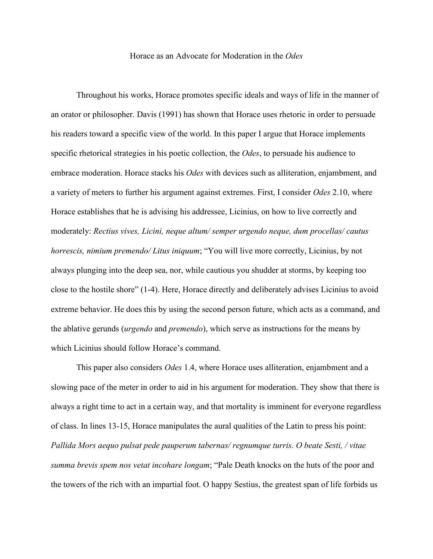Horace as an Advocate for Moderation in the *Odes*

Throughout his works, Horace promotes specific ideals and ways of life in the manner of an orator or philosopher. Davis (1991) has shown that Horace uses rhetoric in order to persuade his readers toward a specific view of the world. In this paper I argue that Horace implements specific rhetorical strategies in his poetic collection, the *Odes*, to persuade his audience to embrace moderation. Horace stacks his *Odes* with devices such as alliteration, enjambment, and a variety of meters to further his argument against extremes. First, I consider *Odes* 2.10, where Horace establishes that he is advising his addressee, Licinius, on how to live correctly and moderately: *Rectius vives, Licini, neque altum/ semper urgendo neque, dum procellas/ cautus horrescis, nimium premendo/ Litus iniquum*; "You will live more correctly, Licinius, by not always plunging into the deep sea, nor, while cautious you shudder at storms, by keeping too close to the hostile shore" (1-4). Here, Horace directly and deliberately advises Licinius to avoid extreme behavior. He does this by using the second person future, which acts as a command, and the ablative gerunds (*urgendo* and *premendo*), which serve as instructions for the means by which Licinius should follow Horace's command.

This paper also considers *Odes* 1.4, where Horace uses alliteration, enjambment and a slowing pace of the meter in order to aid in his argument for moderation. They show that there is always a right time to act in a certain way, and that mortality is imminent for everyone regardless of class. In lines 13-15, Horace manipulates the aural qualities of the Latin to press his point: *Pallida Mors aequo pulsat pede pauperum tabernas/ regnumque turris. O beate Sesti, / vitae summa brevis spem nos vetat incohare longam*; "Pale Death knocks on the huts of the poor and the towers of the rich with an impartial foot. O happy Sestius, the greatest span of life forbids us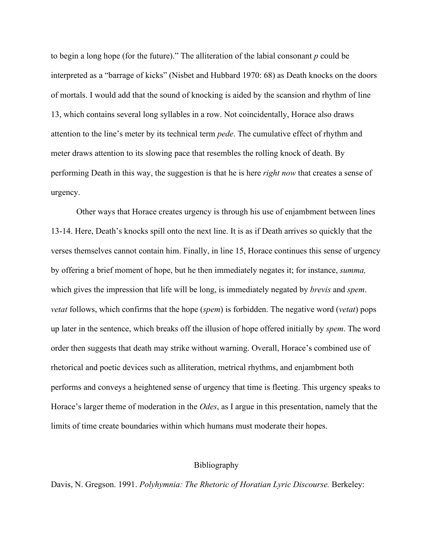to begin a long hope (for the future)." The alliteration of the labial consonant *p* could be interpreted as a "barrage of kicks" (Nisbet and Hubbard 1970: 68) as Death knocks on the doors of mortals. I would add that the sound of knocking is aided by the scansion and rhythm of line 13, which contains several long syllables in a row. Not coincidentally, Horace also draws attention to the line's meter by its technical term *pede*. The cumulative effect of rhythm and meter draws attention to its slowing pace that resembles the rolling knock of death. By performing Death in this way, the suggestion is that he is here *right now* that creates a sense of urgency.

Other ways that Horace creates urgency is through his use of enjambment between lines 13-14. Here, Death's knocks spill onto the next line. It is as if Death arrives so quickly that the verses themselves cannot contain him. Finally, in line 15, Horace continues this sense of urgency by offering a brief moment of hope, but he then immediately negates it; for instance, *summa,*  which gives the impression that life will be long, is immediately negated by *brevis* and *spem*. *vetat* follows, which confirms that the hope (*spem*) is forbidden. The negative word (*vetat*) pops up later in the sentence, which breaks off the illusion of hope offered initially by *spem*. The word order then suggests that death may strike without warning. Overall, Horace's combined use of rhetorical and poetic devices such as alliteration, metrical rhythms, and enjambment both performs and conveys a heightened sense of urgency that time is fleeting. This urgency speaks to Horace's larger theme of moderation in the *Odes*, as I argue in this presentation, namely that the limits of time create boundaries within which humans must moderate their hopes.

## Bibliography

Davis, N. Gregson. 1991. *Polyhymnia: The Rhetoric of Horatian Lyric Discourse*. Berkeley: